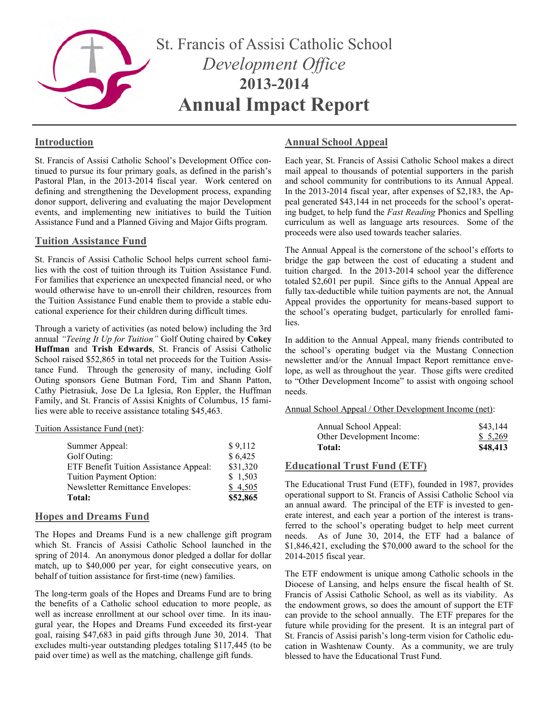

# **Introduction**

St. Francis of Assisi Catholic School's Development Office continued to pursue its four primary goals, as defined in the parish's Pastoral Plan, in the 2013-2014 fiscal year. Work centered on defining and strengthening the Development process, expanding donor support, delivering and evaluating the major Development events, and implementing new initiatives to build the Tuition Assistance Fund and a Planned Giving and Major Gifts program.

# **Tuition Assistance Fund**

St. Francis of Assisi Catholic School helps current school families with the cost of tuition through its Tuition Assistance Fund. For families that experience an unexpected financial need, or who would otherwise have to un-enroll their children, resources from the Tuition Assistance Fund enable them to provide a stable educational experience for their children during difficult times.

Through a variety of activities (as noted below) including the 3rd annual *"Teeing It Up for Tuition"* Golf Outing chaired by **Cokey Huffman** and **Trish Edwards**, St. Francis of Assisi Catholic School raised \$52,865 in total net proceeds for the Tuition Assistance Fund. Through the generosity of many, including Golf Outing sponsors Gene Butman Ford, Tim and Shann Patton, Cathy Pietrasiuk, Jose De La Iglesia, Ron Eppler, the Huffman Family, and St. Francis of Assisi Knights of Columbus, 15 families were able to receive assistance totaling \$45,463.

#### Tuition Assistance Fund (net):

| Summer Appeal:                          | \$9,112  |
|-----------------------------------------|----------|
| Golf Outing:                            | \$6,425  |
| ETF Benefit Tuition Assistance Appeal:  | \$31,320 |
| Tuition Payment Option:                 | \$1,503  |
| <b>Newsletter Remittance Envelopes:</b> | \$4,505  |
| Total:                                  | \$52,865 |

# **Hopes and Dreams Fund**

The Hopes and Dreams Fund is a new challenge gift program which St. Francis of Assisi Catholic School launched in the spring of 2014. An anonymous donor pledged a dollar for dollar match, up to \$40,000 per year, for eight consecutive years, on behalf of tuition assistance for first-time (new) families.

The long-term goals of the Hopes and Dreams Fund are to bring the benefits of a Catholic school education to more people, as well as increase enrollment at our school over time. In its inaugural year, the Hopes and Dreams Fund exceeded its first-year goal, raising \$47,683 in paid gifts through June 30, 2014. That excludes multi-year outstanding pledges totaling \$117,445 (to be paid over time) as well as the matching, challenge gift funds.

# **Annual School Appeal**

Each year, St. Francis of Assisi Catholic School makes a direct mail appeal to thousands of potential supporters in the parish and school community for contributions to its Annual Appeal. In the 2013-2014 fiscal year, after expenses of \$2,183, the Appeal generated \$43,144 in net proceeds for the school's operating budget, to help fund the *Fast Reading* Phonics and Spelling curriculum as well as language arts resources. Some of the proceeds were also used towards teacher salaries.

The Annual Appeal is the cornerstone of the school's efforts to bridge the gap between the cost of educating a student and tuition charged. In the 2013-2014 school year the difference totaled \$2,601 per pupil. Since gifts to the Annual Appeal are fully tax-deductible while tuition payments are not, the Annual Appeal provides the opportunity for means-based support to the school's operating budget, particularly for enrolled families.

In addition to the Annual Appeal, many friends contributed to the school's operating budget via the Mustang Connection newsletter and/or the Annual Impact Report remittance envelope, as well as throughout the year. Those gifts were credited to "Other Development Income" to assist with ongoing school needs.

Annual School Appeal / Other Development Income (net):

| Annual School Appeal:     | \$43,144 |
|---------------------------|----------|
| Other Development Income: | \$5,269  |
| <b>Total:</b>             | \$48,413 |

# **Educational Trust Fund (ETF)**

The Educational Trust Fund (ETF), founded in 1987, provides operational support to St. Francis of Assisi Catholic School via an annual award. The principal of the ETF is invested to generate interest, and each year a portion of the interest is transferred to the school's operating budget to help meet current needs. As of June 30, 2014, the ETF had a balance of \$1,846,421, excluding the \$70,000 award to the school for the 2014-2015 fiscal year.

The ETF endowment is unique among Catholic schools in the Diocese of Lansing, and helps ensure the fiscal health of St. Francis of Assisi Catholic School, as well as its viability. As the endowment grows, so does the amount of support the ETF can provide to the school annually. The ETF prepares for the future while providing for the present. It is an integral part of St. Francis of Assisi parish's long-term vision for Catholic education in Washtenaw County. As a community, we are truly blessed to have the Educational Trust Fund.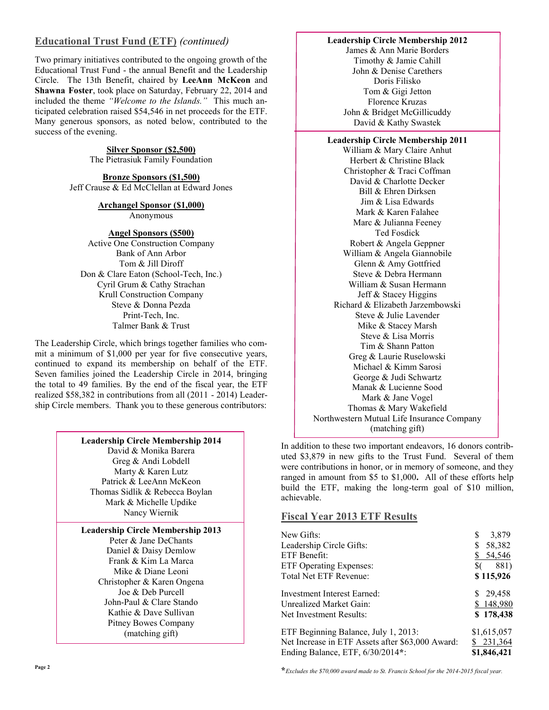# **Educational Trust Fund (ETF)** *(continued)*

Two primary initiatives contributed to the ongoing growth of the Educational Trust Fund - the annual Benefit and the Leadership Circle. The 13th Benefit, chaired by **LeeAnn McKeon** and **Shawna Foster**, took place on Saturday, February 22, 2014 and included the theme *"Welcome to the Islands."* This much anticipated celebration raised \$54,546 in net proceeds for the ETF. Many generous sponsors, as noted below, contributed to the success of the evening.

> **Silver Sponsor (\$2,500)** The Pietrasiuk Family Foundation

**Bronze Sponsors (\$1,500)** Jeff Crause & Ed McClellan at Edward Jones

# **Archangel Sponsor (\$1,000)**

Anonymous

### **Angel Sponsors (\$500)**

Active One Construction Company Bank of Ann Arbor Tom & Jill Diroff Don & Clare Eaton (School-Tech, Inc.) Cyril Grum & Cathy Strachan Krull Construction Company Steve & Donna Pezda Print-Tech, Inc. Talmer Bank & Trust

The Leadership Circle, which brings together families who commit a minimum of \$1,000 per year for five consecutive years, continued to expand its membership on behalf of the ETF. Seven families joined the Leadership Circle in 2014, bringing the total to 49 families. By the end of the fiscal year, the ETF realized \$58,382 in contributions from all (2011 - 2014) Leadership Circle members. Thank you to these generous contributors:

| <b>Leadership Circle Membership 2014</b> |                                                                          |  |
|------------------------------------------|--------------------------------------------------------------------------|--|
|                                          | $D_{\text{total}}$ $\theta$ , $M_{\text{total}}$ , $D_{\text{standard}}$ |  |

David & Monika Barera Greg & Andi Lobdell Marty & Karen Lutz Patrick & LeeAnn McKeon Thomas Sidlik & Rebecca Boylan Mark & Michelle Updike Nancy Wiernik

# **Leadership Circle Membership 2013**

Peter & Jane DeChants Daniel & Daisy Demlow Frank & Kim La Marca Mike & Diane Leoni Christopher & Karen Ongena Joe & Deb Purcell John-Paul & Clare Stando Kathie & Dave Sullivan Pitney Bowes Company (matching gift)

#### **Leadership Circle Membership 2012**

James & Ann Marie Borders Timothy & Jamie Cahill John & Denise Carethers Doris Filisko Tom & Gigi Jetton Florence Kruzas John & Bridget McGillicuddy David & Kathy Swastek

#### **Leadership Circle Membership 2011**

William & Mary Claire Anhut Herbert & Christine Black Christopher & Traci Coffman David & Charlotte Decker Bill & Ehren Dirksen Jim & Lisa Edwards Mark & Karen Falahee Marc & Julianna Feeney Ted Fosdick Robert & Angela Geppner William & Angela Giannobile Glenn & Amy Gottfried Steve & Debra Hermann William & Susan Hermann Jeff & Stacey Higgins Richard & Elizabeth Jarzembowski Steve & Julie Lavender Mike & Stacey Marsh Steve & Lisa Morris Tim & Shann Patton Greg & Laurie Ruselowski Michael & Kimm Sarosi George & Judi Schwartz Manak & Lucienne Sood Mark & Jane Vogel Thomas & Mary Wakefield Northwestern Mutual Life Insurance Company (matching gift)

In addition to these two important endeavors, 16 donors contributed \$3,879 in new gifts to the Trust Fund. Several of them were contributions in honor, or in memory of someone, and they ranged in amount from \$5 to \$1,000**.** All of these efforts help build the ETF, making the long-term goal of \$10 million, achievable.

# **Fiscal Year 2013 ETF Results**

| New Gifts:                                       | 3,879<br>S  |
|--------------------------------------------------|-------------|
|                                                  |             |
| Leadership Circle Gifts:                         | 58,382      |
| ETF Benefit:                                     | \$54,546    |
| <b>ETF Operating Expenses:</b>                   | 881)<br>\$6 |
| Total Net ETF Revenue:                           | \$115,926   |
| <b>Investment Interest Earned:</b>               | \$29,458    |
| Unrealized Market Gain:                          | \$148,980   |
| Net Investment Results:                          | \$178,438   |
| ETF Beginning Balance, July 1, 2013:             | \$1,615,057 |
| Net Increase in ETF Assets after \$63,000 Award: | \$231,364   |
| Ending Balance, ETF, 6/30/2014*:                 | \$1,846,421 |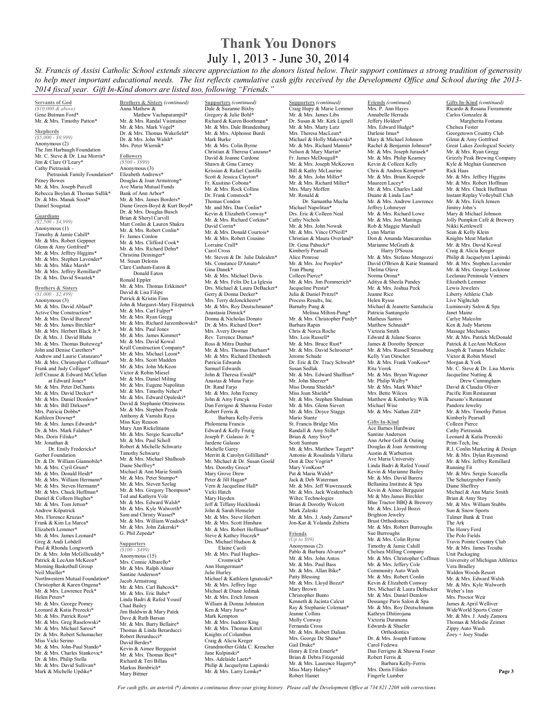# **Thank You Donors** July 1, 2013 - June 30, 2014

*St. Francis of Assisi Catholic School extends sincere appreciation to the donors listed below. Their support continues a strong tradition of generosity to help meet important educational needs. The list reflects cumulative cash gifts received by the Development Office and School during the 2013- 2014 fiscal year. Gift In-Kind donors are listed too, following "Friends."* 

**Servants of God** *(\$10,000 & above)*  Gene Butman Ford**\*** Mr. & Mrs. Timothy Patton**\***

**Shepherds** *(\$5,000 - \$9,999)*  Anonymous (2) The Jim Harbaugh Foundation Mr. C. Steve & Dr. Lisa Morris**\*** Jim & Clare O'Leary**\*** Cathy Pietrasiuk - Pietrasiuk Family Foundation**\*** Pitney Bowes

Mr. & Mrs. Joseph Purcell Rebecca Boylan & Thomas Sidlik**\*** Dr. & Mrs. Manak Sood**\***  Daniel Sougstad

**Guardians** *(\$2,500 - \$4,999)*  Anonymous (1) Timothy & Jamie Cahill**\***  Mr. & Mrs. Robert Geppner Glenn & Amy Gottfried**\*** Mr. & Mrs. Jeffrey Higgins**\*** Mr. & Mrs. Stephen Lavender**\*** Mr. & Mrs. Mike Marsh**\*** Mr. & Mrs. Jeffrey Remillard**\*** Dr. & Mrs. David Swastek**\***

**Brothers & Sisters** *(\$1,000 - \$2,499)*  Anonymous (3) Mr. & Mrs. David Ablauf**\*** Active One Construction**\*** Mr. & Mrs. David Barera**\*** Mr. & Mrs. James Birchler**\*** Mr. & Mrs. Herbert Black Jr.**\*** Dr. & Mrs. J. David Blaha Mr. & Mrs. Thomas Buiteweg**\*** John and Denise Carethers**\*** Andrew and Laurie Catanzaro\* Mr. & Mrs. Christopher Coffman**\*** Frank and Judy Colligan**\***  Jeff Crause & Edward McClellan at Edward Jones\* Mr. & Mrs. Peter DeChants Mr. & Mrs. David Decker**\*** Mr. & Mrs. Daniel Demlow**\*** Mr. & Mrs. Bill Dirksen**\*** Mrs. Patricia Dobbs**\*** Kathleen Downer**\*** Mr. & Mrs. James Edwards**\*** Dr. & Mrs. Mark Falahee**\*** Mrs. Doris Filisko**\*** Mr. Jonathan & Dr. Emily Fredericks**\*** Gerber Foundation Dr. & Dr. William Giannobile**\*** Mr. & Mrs. Cyril Grum**\*** Mr. & Mrs. Donald Heidt**\*** Mr. & Mrs. William Hermann\* Mr. & Mrs. Steven Hermann**\*** Mr. & Mrs. Chuck Huffman**\*** Daniel & Colleen Hughes**\*** Mr. & Mrs. Tom Jetton**\*** Andrew Kilpatrick Mrs. Florence Kruzas**\*** Frank & Kim La Marca**\*** Elizabeth Lemmer**\*** Mr. & Mrs. James Leonard**\*** Greg & Andi Lobdell Paul & Rhonda Longworth Dr. & Mrs. John McGillicuddy**\*** Patrick & LeeAnn McKeon**\*** Morning Basketball Group Neil Mueller**\***  Northwestern Mutual Foundation**\*** Christopher & Karen Ongena**\*** Mr. & Mrs. Lawrence Peck**\*** Helen Peters**\*** Mr. & Mrs. George Pomey Leonard & Katia Prezecki**\*** Mr. & Mrs. Patrick Ross**\***  Mr. & Mrs. Greg Ruselowski**\*** Mr. & Mrs. Michael Sarosi**\*** Dr. & Mrs. Robert Schumacher Miss Vicki Serino Mr. & Mrs. John-Paul Stando**\*** Mr. & Mrs. Charles Stankovic**\*** Dr. & Mrs. Philip Stella Mr. & Mrs. David Sullivan**\*** Mark & Michelle Updike**\*** 

**Brothers & Sisters** *(continued)* Anna Mathew & Mathew Vachaparampil\* Mr. & Mrs. Randal Visintainer Mr. & Mrs. Mark Vogel**\*** Dr. & Mrs. Thomas Wakefield**\***

Dr. & Mrs. John Walsh**\*** Mrs. Peter Wiernik**\* Followers** *(\$500 - \$999)*  Anonymous (3) Elizabeth Andrews**\*** Douglas & Joan Armstrong**\*** Ave Maria Mutual Funds Bank of Ann Arbor**\*** Mr. & Mrs. James Borders**\*** Diane Green-Boyd & Kurt Boyd**\*** Dr. & Mrs. Douglas Busch Brian & Sheryl Carvill Matt Conlin & Lauren Shakra Mr. & Mrs. Robert Conlin**\*** Fr. James Conlon Mr. & Mrs. Clifford Cook**\*** Mr. & Mrs. Richard Dehn**\*** Christina Deininger**\*** M. Susan Delonis Clare Canham-Eaton & Donald Eaton Ronald Eppler Mr. & Mrs. Thomas Erkkinen**\***  David & Lisa Filine Patrick & Kristin Finn John & Margaret-Mary Fitzpatrick Mr. & Mrs. Carl Fulper**\*** Mr. & Mrs. Ryan Gregg Mr. & Mrs. Richard Jarzembowski**\*** Mr. & Mrs. Paul Jones Mr. & Mrs. James Kimmet**\*** Mr. & Mrs. David Kowal Krull Construction Company**\*** Mr. & Mrs. Michael Leoni**\*** Mr. & Mrs. Scott Madden Mr. & Mrs. John McKeon Victor & Robin Miesel Mr. & Mrs. Daniel Miling Mr. & Mrs. Eugene Napolitan Mr. & Mrs. Timothy Nehez**\*** Mr. & Mrs. Edward Opaleski**\*** David & Stephanie Ottenwess Mr. & Mrs. Stephen Pezda Anthony & Vamshi Raya Miss Kay Reason Mary Ann Rickelmann Mr. & Mrs. Sergio Scarcella**\*** Mr. & Mrs. Paul Scholl Robert & Michelle Schwartz Timothy Schwartz Mr. & Mrs. Michael Shalhoub Diane Sheffrey**\*** Michael & Ann Marie Smith Mr. & Mrs. Peter Stumpo**\*** Mr. & Mrs. Steven Szelag Mr. & Mrs. Gregory Thompson**\*** Ted and Kathyrn Volz Mr. & Mrs. Edward Walsh**\*** Mr. & Mrs. Kyle Walworth**\*** Sam and Christy Wassef**\*** Mr. & Mrs. William Weadock**\***  Mr. & Mrs. John Zakerski**\*** G. Phil Zepeda**\***

#### **Supporters** *(\$100 - \$499)*

Anonymous (15) Mrs. Connie Albarello**\*** Mr. & Mrs. Ralph Almer Santine Anderson**\*** Jacob Armstrong Mr. & Mrs. Carl Babcock**\*** Mr. & Mrs. Eric Babe**\*** Linda Badri & Rafed Yousif Chad Bailey Jim Baldwin & Mary Patek Dave & Ruth Barsan Mr. & Mrs. Barry Bellaire**\*** Thomas & Linda Berarducci Robert Berarducci**\*** David Berdes**\*** Kevin & Aimee Bergquist Mr. & Mrs. Thomas Best**\*** Richard & Teri Billau Markus Birnbrich**\*** Mary Bittner

**Supporters** *(continued)* Dale & Suzanne Bixby Gregory & Julie Bohl**\*** Richard & Karen Boothman**\*** Mr. & Mrs. Dale Brandenburg Mr. & Mrs. Alphonse Burdi Mark Burke Mr. & Mrs. Colin Byrne Christian & Theresa Canzano**\*** David & Joanne Cardone Shawn & Gina Carney Krissian & Rafael Castillo Scott & Jessica Clayton**\*** Fr. Kusitino Cobona**\*** Mr. & Mrs. Rock Collins Dr. Frank Comstock**\*** Thomas Condon Mr. and Mrs. Dan Conlin**\*** Kevin & Elizabeth Conway**\*** Mr. & Mrs. Richard Corkins**\*** David Corrin**\*** Mr. & Mrs. Donald Courtois**\*** Mr. & Mrs. Robert Cousino Lorraine Crall**\*** Carol Cross Mr. Steven & Dr. Julie Daleiden**\*** Ms. Constance D'Amato**\*** Gina Danek**\*** Mr. & Mrs. Michael Davis Mr. & Mrs. Felix De La Iglesia Drs. Michael & Laura DeBacker**\*** Gerry & Donna Decker**\*** Mrs. Terry deJonckheere**\*** Mr. & Mrs. Roy Deutschmann**\*** Anastasia Dimick**\*** Donna & Nicholas Donato Dr. & Mrs. Richard Dorr**\*** Mrs. Avery Downer Rev. Terrence Dumas**\*** Ross & Mitra Dunbar Mr. & Mrs. Thomas Durham**\*** Mr. & Mrs. Richard Ebenhoeh Patricia Edwards Samuel Edwards John & Theresa Ewald**\*** Anastas & Muna Farjo Dr. Rand Fario Mr. & Mrs. John Feeney John & Amy Fencyk Dan Ferrigno & Shawna Foster Robert Ferris & Barbara Kelly-Ferris Philomena Francis Edward & Kelly Frutig Joseph P. Galasso Jr. **\*** Jaedene Galasso Michelle Garey Merritt & Carolyn Gillilland**\*** Mr. Michael & Dr. Susan Goold Mrs. Dorothy Greca**\*** Mary Grove Drew Peter & Jill Hagan**\*** Vern & Jacqueline Hall**\*** Vicki Hatch Mary Hayden<br>Jeff & Tiffany Hecklinski John & Sarah Henseler Mr. & Mrs. Steve Herbert Mr. & Mrs. Scott Hinshaw Mr. & Mrs. Robert Hoffman**\*** Steve & Kathey Huczek**\*** Drs. Michael Hudson & Elaine Caoili Mr. & Mrs. Paul Hughes- Cromwick**\*** Ann Hungerman**\*** Julie Hurley Michael & Kathleen Ignatoski**\*** Mr. & Mrs. Jeffrey Inge Michael & Diane Jedinak Mr. & Mrs. Erich Jensen William & Donna Johnston Ken & Mary Jurss**\*** Mark Kempton Mr. & Mrs. Isadore King Mr. & Mrs. Thomas Kittel Knights of Columbus Craig & Alicia Kreger Grandmother Gilda C. Kreucher Jane Kulpinski**\*** Mrs. Adelaide Laetz**\*** Philip & Jacquelynn Lapinski Mr. & Mrs. Larry Lemke**\***

**Supporters** *(continued)* Craig Hupy & Marie Lemmer Mr. & Mrs. James Libs Dr. Susan & Mr. Kirk Lignell Mr. & Mrs. Marty Lutz Mrs. Theresa MacLean**\*** Michael & Holly Makowski**\*** Mr. & Mrs. Richard Mannis**\*** Nelson & Mary Martin**\*** Fr. James McDougall**\*** Mr. & Mrs. Joseph McKeown Bill & Kathy McLaurine Mr. & Mrs. John Miller**\*** Mr. & Mrs. Richard Miller**\*** Mrs. Mary Moffett Mr. Ronald & Dr. Samantha Mucha Michael Napolitan**\*** Drs. Eric & Colleen Neal Cathy Nichols Mr. & Mrs. John Nowak Mr. & Mrs. Vince O'Neill**\*** Christian & Maura Overland**\*** Dr. Gena Pahucki**\*** Kimberly Pearsall Alice Penrose Mr. & Mrs. Joe Peoples**\*** Tran Phung Colleen Pierce**\*** Mr. & Mrs. Jim Pommerich**\*** Jacqueline Presta**\*** Julia & Daniel Pritzel**\*** Process Results, Inc. Barnaby Pung & Melissa Milton-Pung**\*** Mr. & Mrs. Christopher Purdy**\*** Barbara Rapin Chris & Norca Roche Mrs. Lois Russell**\*** Mr. & Mrs. Bruce Rust**\*** Mr. & Mrs. David Schroeter**\*** Jerome Schude Dr. Eric & Dr. Tracy Schwab**\*** Susan Sedlak Mr. & Mrs. Edward Shaffran**\*** Mr. John Sherzer**\*** Miss Donna Shields**\*** Miss Joan Shields**\*** Mr. & Mrs. Stephen Shulman Mr. & Mrs. Glenn Sievert Mr. & Mrs. Doyce Staggs Mario Stante St. Francis Bridge Mix Randall & Amy Stille**\*** Brian & Amy Stoy**\*** Scott Suntum Mr. & Mrs. Matthew Targett**\*** Antonio & Rosalinda Villarta Don & Dee Vogrin**\*** Mary VonKoss**\*** Pat & Maria Walsh**\*** Jack & Deb Waterman Mr. & Mrs. Jeff Wawrzaszek Mr. & Mrs. Jack Weidenbach Wiltec Technologies Brian & Dorothy Wolcott Mark Zaleski Mr. & Mrs. J. Andy Zamora**\*** Jon-Kar & Yolanda Zubieta **Friends** *(Up to \$99)*  Anonymous (2) Pablo & Barbara Alvarez**\*** Mr. & Mrs. John Antos Mr. & Mrs. Paul Bass Mr. & Mrs. Allan Bike\* Patty Blessing Mr. & Mrs. Lloyd Bozzi**\*** Mary Brown Christopher Bunto Kenneth & Jacinta Calcut Ray & Stephanie Coleman**\*** Jeanne Collins Molly Conway Fernanda Cross Mr. & Mrs. Robert Dalian Mrs. George De Shano**\*** Gail Drake**\*** Henry & Erin Emerle**\*** Brian & Debra Fitzgerald Mr. & Mrs. Laurence Hagerty\* Miss Mary Halsey**\*** Robert Hamet

**Friends** *(continued)* Mrs. P. Ann Hayes Annabelle Herrada Jeffery Holden**\*** Mrs. Edward Hudge**\*** Darlene Imus**\*** Mary & Michael Johnson Rachel & Benjamin Johnson**\*** Mr. & Mrs. Joseph Jurasek**\*** Mr. & Mrs. Philip Kearney Kevin & Colleen Kelly Chris & Andrea Kempton**\*** Mr. & Mrs. Brian Koepele Maureen Lacey**\*** Mr. & Mrs. Charles Ladd Duane & Linda Lau**\*** Mr. & Mrs. Andrew Lawrence Jeffrey Lohmeyer Mr. & Mrs. Richard Lowe Mr. & Mrs. Jon Maninga Rob & Maggie Marshall Lynn Martin Don & Amanda Mascarenhas Marianne McGrath & Harry D'Souza Mr. & Mrs. Stefano Mengozzi David O'Brien & Katie Stannard Thelma Olave Norma Orona**\*** Aditya & Sheela Pandey Mr. & Mrs. Joshua Peck Jeanne Rice Helen Rysse Michael & Jeanette Santalucia Patricia Santangelo Matheus Santos Matthew Schnaidt**\*** Victoria Smith Edward & Julane Soares James & Dorothy Spencer Mr. & Mrs. Russell Strassburg Kelly Van Oirschot Mr. & Mrs. Frank VonKoss**\*** Rita Vorek<br>Mr. & Mrs. Bryan Wagoner Mr. Philip Walby**\*** Mr. & Mrs. Mark White**\*** Mrs. Bette Wilcox Matthew & Kimberley Wilk Michael Wise Mr. & Mrs. Nathan Zill**\* Gifts In-Kind** Ace Barnes Hardware Santine Anderson Ann Arbor Golf & Outing Douglas & Joan Armstrong Austin & Warburton Ave Maria University Linda Badri & Rafed Yousif Kevin & Marianne Bailey Mr. & Mrs. David Barera Bellanina Institute & Spa Kevin & Aimee Bergquist Mr & Mrs James Birchler Blue Tractor BBQ & Brewery Mr. & Mrs. Lloyd Bozzi Brighton Jewelry Brust Orthodontics Mr. & Mrs. Robert Burroughs Sue Burroughs Mr. & Mrs. Colin Byrne Timothy & Jamie Cahill Chelsea Milling Company Mr. & Mrs. Christopher Coffman Mr. & Mrs. Jeffery Cole Community Auto Wash Mr. & Mrs. Robert Conlin Kevin & Elizabeth Conway Drs. Michael & Laura DeBacker Mr. & Mrs. Daniel Demlow Dessange Paris Salon & Spa

Mr. & Mrs. Roy Deutschmann Kathryn Dhitirojana Victoria Duranona Edwards & Shaefer Orthodontics Dr. & Mrs. Joseph Fantone Carol Fedewa Dan Ferrigno & Shawna Foster Robert Ferris & Barbara Kelly-Ferris Mrs. Doris Filisko Fingerle Lumber The Ark

Ricardo & Rosana Fioramonte Carlos Gonzalez & Margherita Fontana Chelsea Foster Georgetown Country Club Glenn & Amy Gottfried Great Lakes Zoological Society Mr. & Mrs. Ryan Gregg Grizzly Peak Brewing Company Kyle & Meghan Gunnerson Rick Haas Mr. & Mrs. Jeffrey Higgins Mr. & Mrs. Robert Hoffman Mr. & Mrs. Chuck Huffman Instant Replay Volleyball Club Mr. & Mrs. Erich Jensen Jimmy John's Mary & Michael Johnson Jolly Pumpkin Café & Brewery Nikki Kettlewell Sean & Kelly Klein Knights Meat Market Mr. & Mrs. David Kowal Craig & Alicia Kreger Philip & Jacquelynn Lapinski Mr. & Mrs. Stephen Lavender Mr. & Mrs. George Leckrone Leelanau Peninsula Vintners Elizabeth Lemmer Lewis Jewelers Liberty Athletic Club Live Nightclub Luminosity Salon & Spa Janet Mainz Carlye Malcolm Ken & Judy Martens Massage Mechanics Mr. & Mrs. Patrick McDonald Patrick & LeeAnn McKeon Joseph & Tamara Michalec Victor & Robin Miesel Morgan & York Mr. C. Steve & Dr. Lisa Morris Jacqueline Nutting & Drew Cunningham David & Claudia Oliver Pacific Rim Restaurant Paesano's Restaurant Pandora Jewelry Mr. & Mrs. Timothy Patton Kimberly Pearsall Colleen Pierce Cathy Pietrasiuk Leonard & Katia Prezecki Print-Tech, Inc. R.J. Conlin Marketing & Design Mr. & Mrs. Dylan Raymond Mr. & Mrs. Jeffrey Remillard Running Fit Mr. & Mrs. Sergio Scarcella The Schutzgruber Family Diane Sheffrey Michael & Ann Marie Smith Brian & Amy Stoy Mr. & Mrs. William Stubbs Sun & Snow Sports Talmer Bank & Trust The Henry Ford The Polo Fields Travis Pointe Country Club Mr. & Mrs. James Trouba Unit Packaging University of Michigan Athletics Vera Bradley Walden Woods Resort Mr. & Mrs. Edward Walsh Mr. & Mrs. Kyle Walworth Weber's Inn Mrs. Proctor Weir James & April Welliver WideWorld Sports Center Mr. & Mrs. J. Andy Zamora Thomas & Melodie Zeimet Zippy Auto Wash Zoey + Joey Studio

**Gifts In-Kind** *(continued)* 

*For cash gifts, an asterisk (***\****) denotes a continuous three-year giving history. Please call the Development Office at 734.821.2208 with corrections.*